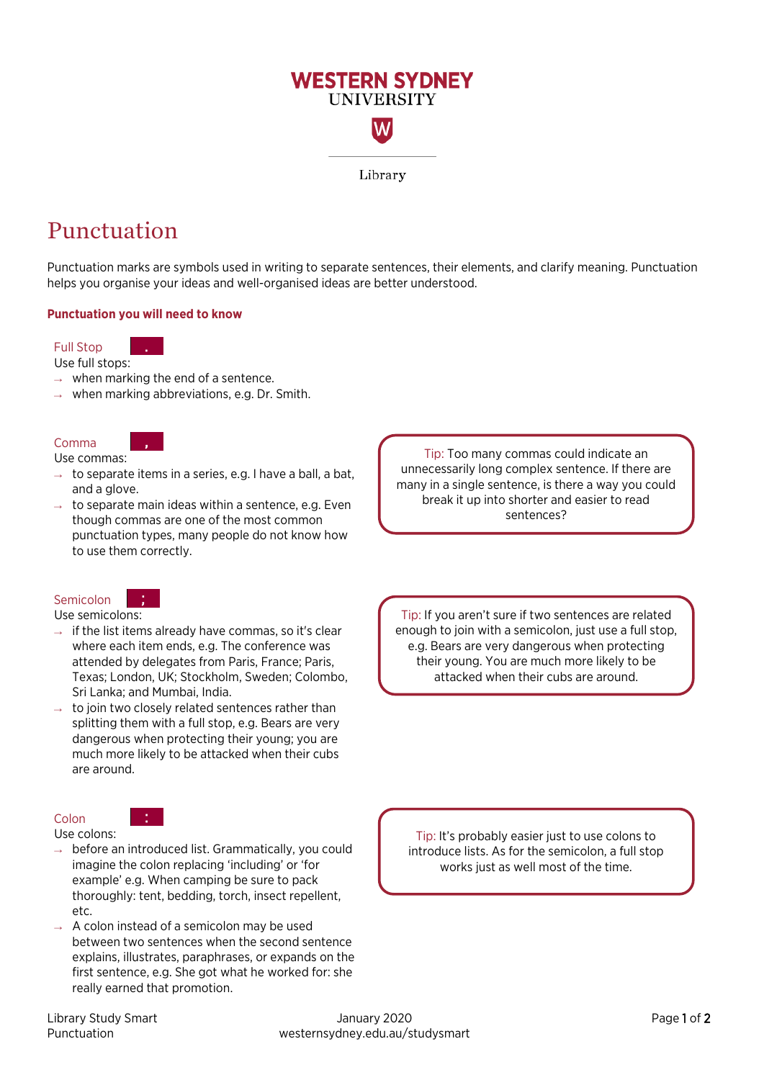

Library

## Punctuation

Punctuation marks are symbols used in writing to separate sentences, their elements, and clarify meaning. Punctuation helps you organise your ideas and well-organised ideas are better understood.

## **Punctuation you will need to know**

.

,

;

#### Full Stop

Use full stops:

- $\rightarrow$  when marking the end of a sentence.
- $\rightarrow$  when marking abbreviations, e.g. Dr. Smith.

## Comma

Use commas:

- $\rightarrow$  to separate items in a series, e.g. I have a ball, a bat, and a glove.
- $\rightarrow$  to separate main ideas within a sentence, e.g. Even though commas are one of the most common punctuation types, many people do not know how to use them correctly.

Tip: Too many commas could indicate an unnecessarily long complex sentence. If there are many in a single sentence, is there a way you could break it up into shorter and easier to read sentences?

## Semicolon

Use semicolons:

- $\rightarrow$  if the list items already have commas, so it's clear where each item ends, e.g. The conference was attended by delegates from Paris, France; Paris, Texas; London, UK; Stockholm, Sweden; Colombo, Sri Lanka; and Mumbai, India.
- $\rightarrow$  to join two closely related sentences rather than splitting them with a full stop, e.g. Bears are very dangerous when protecting their young; you are much more likely to be attacked when their cubs are around.

## Colon

Use colons:

- $\rightarrow$  before an introduced list. Grammatically, you could imagine the colon replacing 'including' or 'for example' e.g. When camping be sure to pack thoroughly: tent, bedding, torch, insect repellent, etc.
- $\rightarrow$  A colon instead of a semicolon may be used between two sentences when the second sentence explains, illustrates, paraphrases, or expands on the first sentence, e.g. She got what he worked for: she really earned that promotion.

Tip: If you aren't sure if two sentences are related enough to join with a semicolon, just use a full stop, e.g. Bears are very dangerous when protecting their young. You are much more likely to be attacked when their cubs are around.

Tip: It's probably easier just to use colons to introduce lists. As for the semicolon, a full stop works just as well most of the time.